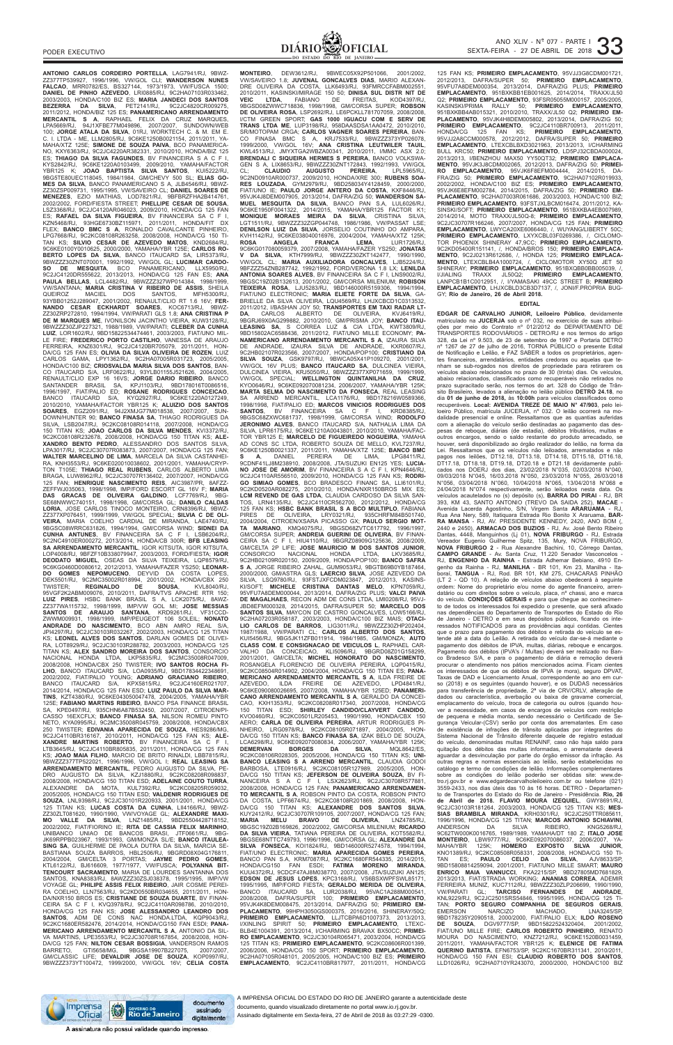**ANTONIO CARLOS CORDEIRO PORTELLA**, LAG7941/RJ, 9BWZ-ZZ377TP539927, 1996/1996, VW/GOL CLI; **WANDERSON NUNES FALCAO**, MRR0782/ES, BS327144, 1973/1973, VW/FUSCA 1500; **DANIEL DE PINHO AZEVEDO**, LRI0885/RJ, 9C2HA07103R033462, 2003/2003, HONDA/C100 BIZ ES; **MARIA JANDECI DOS SANTOS BEZERRA DA SILVA**, PET2141/RJ, 9C2JC4820CR009275, 2011/2012, HONDA/BIZ 125 ES; **PANAMERICANO ARRENDAMENTO MERCANTIL S A**, RAPHAEL FELIX DA CRUZ MARQUES, LPA5669/RJ, 94J1XFBE77M049896, 2007/2007, SUNDOWN/WEB 100; **JORGE ATALA DA SILVA**, 01RJ, WORKTECH C. & M. EM E. C. I. LTDA - ME, LLM2805/RJ, 9C6KE1250B0021154, 2011/2011, YA-MAHA/XTZ 125E; **SIMONE DE SOUZA PAIVA**, BCO PANAMERICA-NO, KXY6363/RJ, 9C2JC4220AR382331, 2010/2010, HONDA/BIZ 125 ES; **THIAGO DA SILVA FAGUNDES**, BV FINANCEIRA S A C F I, KYS2842/RJ, 9C6KE1220A0103499, 2009/2010, YAMAHA/FACTOR YBR125 K; **JOAO BAPTISTA SILVA SANTOS**, KUI5222/RJ, 9BG5TE80UEC118045, 1984/1984, GM/CHEVY 500 SL; **ELIAS GO-MES DA SILVA**, BANCO PANAMERICANO S A, JLB4546/RJ, 9BWZ-ZZ30ZSP009731, 1995/1995, VW/SAVEIRO CL; **DANIEL SOARES DE MENEZES**, EZIO MATHIAS, LOD7821/RJ, 9BFBRZFHA2B414761, 2002/2002, FORD/FIESTA STREET; **PHELLIPE CESAR DE SOUSA**, LSZ3368/RJ, 9C2JC4120AR046023, 2009/2010, HONDA/CG 125 FAN ES; **RAFAEL DA SILVA FIGUEIRA**, BV FINANCEIRA SA C F I, KZN5468/RJ, 93HGE6730BZ115971, 2011/2011, HONDA/FIT DX FLEX; **BANCO BMC S A**, RONALDO CAVALCANTE PINHEIRO, LPG7668/RJ, 9C2KC08108R263258, 2008/2008, HONDA/CG 150 TI-TAN KS; **SILVIO CESAR DE AZEVEDO MATOS**, KND2684/RJ, 9C6KE0100Y0010625, 2000/2000, YAMAHA/YBR 125E; **CARLOS RO-BERTO LOPES DA SILVA**, BANCO ITAUCARD SA, LIR5373/RJ, 9BWZZZ30ZNT070001, 1992/1992, VW/GOL GL; **LUCIMAR CARDO-SO DE MESQUITA**, BCO PANAMERICANO, LLX5950/RJ, 9C2JC4120DR555622, 2013/2013, HONDA/CG 125 FAN ES; **ANA PAULA BELLAS**, LCL4482/RJ, 9BWZZZ327WP014384, 1998/1999, VW/SANTANA; **MARIA CRISTINA V RIBEIRO DE ASSIS**, SHEILA QUEIROZ MACIEL DOS SANTOS, MFH5300/RJ, 93YBB01252J289047, 2001/2002, RENAULT/CLIO RT 1.6 16V; **FER-NANDO CESAR ECKHARDT SOARES**, KOC6713/RJ, 9BWZ-ZZ30ZRP272810, 1994/1994, VW/PARATI GLS 1.8; **ANA CRISTINA P DE M MARQUES ME**, IVONILSON JACINTHO VIEIRA, KUW3128/RJ, 9BWZZZ30ZJP227321, 1988/1989, VW/PARATI; **CLEBER DA CUNHA LUIZ**, LOR1602/RJ, 9BD15822534474461, 2003/2003, FIAT/UNO MIL-LE FIRE; **FREDERICO PORTO CASTILHO**, VANESSA DE ARAUJO FERREIRA, KNZ6301/RJ, 9C2JC4120BR705079, 2011/2011, HON-DA/CG 125 FAN ES; **OLIVIA DA SILVA OLIVEIRA DE ROZEN**, LUIZ CARLOS GAMA, LPY1362/RJ, 9C2HA07005R031723, 2005/2005, HONDA/C100 BIZ; **CRIOSVALDA MARIA SILVA DOS SANTOS**, BAN-CO ITAUCARD S/A, LRF0622/RJ, 93YLB01155J521626, 2004/2005, RENAULT/CLIO EXP 16 16VS; **JORGE DARIO RIBEIRO**, BANCO SANTANDER BRASIL SA, KPJ1103/RJ, 9BD178016T0086516, 1996/1997, FIAT/PALIO ED; **ROSANE RODRIGUES CONCEICAO**,<br>BANCO ITAUCARD S/A, KYQ2927/RJ, 9C6KE1220A0127249,<br>2010/2010, YAMAHA/FACTOR YBR125 K; **ALUIZIO DOS SANTOS**<br>**SOARES**, EGZ2091/RJ, 94J2XMJG77M018538, 2007/2007, SUN-DOWN/HUNTER 90; **BANCO FINASA SA**, THIAGO RODRIGUES DA SILVA, LSB2047/RJ, 9C2KC08108R014118, 2007/2008, HONDA/CG 150 TITAN KS; **JOAO CARLOS DA SILVA MENDES**, KVI3372/RJ, 9C2KC08108R232678, 2008/2008, HONDA/CG 150 TITAN KS; **ALE-XANDRO BENTO PEDRO**, ALESSANDRO DOS SANTOS SILVA, LPA3017/RJ, 9C2JC30707R083873, 2007/2007, HONDA/CG 125 FAN; **WALTER MARCELINO DE LIMA**, MARCELA DA SILVA CASTANHEI-RA, KNH3553/RJ, 9C6KE020010038602, 2001/2001, YAMAHA/CRYP-TON T105E; **THIAGO REAL RUBENS**, CARLOS ALBERTO LIMA BRAGA, LUW8962/RJ, 9C2JC30707R136402, 2007/2007, HONDA/CG 125 FAN; **HENRIQUE NASCIMENTO REIS**, AIC3987/PR, 8AFZZ-ZEFFWJ035063, 1998/1998, IMP/FORD ESCORT GL 16V F; **MARIA DAS GRACAS DE OLIVEIRA GALDINO**, LCF7769/RJ, 9BG-SE68NWWC740151, 1998/1998, GM/CORSA GL; **DANILO CALDAS LORIA**, JOSE CARLOS TINOCO MONTEIRO, CRN8396/RJ, 9BWZ-ZZ377XP076451, 1999/1999, VW/GOL SPECIAL; **SILVIA C DE OLI-VEIRA**, MARIA COELHO CARDIAL DE MIRANDA, LAE4740/RJ, 9BGSC08WRRC631826, 1994/1994, GM/CORSA WIND; **SIDNEI DA CUNHA ANTUNES**, BV FINANCEIRA SA C F I, LSB6204/RJ, 9C2NC4910ER000272, 2013/2014, HONDA/CB 300R; **BFB LEASING SA ARRENDAMENTO MERCANTIL**, IGOR KITSUTA, IGOR KITSUTA, LOP4008/RJ, 9BFZF10B338079947, 2003/2003, FORD/FIESTA; I**GOR<br>DEODATO MIGUEL**, OSEAS DA SILVA TEIXEIRA, LQP8579/RJ,<br>9C6KG0460D0080612, 2012/2013, YAMAHA/FAZER YS250; L**EONAR**<br>DO GOMES NEPOMUCENO, DEYVID DA COSTA LOPES,<br>DEK5 95VGF2K2ABM009076, 2010/2011, DAFRA/TVS APACHE RTR 150;<br>LUIZ PIRES, HSBC BANK BRASIL S A, LCK2075/RJ, 8AWZ-<br>ZZ377WA115732, 1998/1999, IMP/VW GOL MI; J**OSE MESSIAS**<br>**SANTOS DE ARAUJO SANTANA**, KRD9261/RJ, VF31CCD-ZWWM009931, 1998/1999, IMP/PEUGEOT 106 SOLEIL; **NONATO ANDRADE DO NASCIMENTO**, BCO ABN AMRO REAL S/A, JPI4297/RJ, 9C2JC30103R032267, 2002/2003, HONDA/CG 125 TITAN KS; **LEONEL ALVES DOS SANTOS**, DARLAN GOMES DE OLIVEI-RA, LOT8929/RJ, 9C2JC30103R288782, 2003/2003, HONDA/CG 125 TITAN KS; **ALEX SANDRO MOREIRA DOS SANTOS**, CONSORCIO NACIONAL HONDA LTDA, LKP5835/RJ, 9C2MC35008R047009, 2008/2008, HONDA/CBX 250 TWISTER; **IVO SANTOS ROCHA FI-LHO**, BANCO ITAUCARD S/A, LOA0935/RJ, 9BD17834422348691, 2002/2002, FIAT/PALIO YOUNG; **ADRIANO GRACIANO RIBEIRO**, BANCO ITAUCARD S/A, KPX5815/RJ, 9C2JC4160ER021707, 2014/2014, HONDA/CG 125 FAN ESD; **LUIZ PAULO DA SILVA MAR-TINS**, KZT4380/RJ, 9C6KE043050047478, 2004/2005, YAMAHA/YBR 125E; **FABIANO MARTINS RIBEIRO**, BANCO PSA FINANCE BRASIL SA, KPE0497/RJ, 935CHN6A87B532450, 2007/2007, CITROEN/PI-CASSO 16EXCFLX; **BANCO FINASA SA**, NILSON ROMEU PINTO NETO, KYA0995/RJ, 9C2MC35008R045759, 2008/2008, HONDA/CBX 250 TWISTER; **EDIVANIA APARECIDA DE SOUZA**, HES9286/MG, 9C2JC4110BR316167, 2010/2011, HONDA/CG 125 FAN KS; **ALE-XANDRE MARTINS ROBERTO**, BV FINANCEIRA SA C F I, LTB3645/RJ, 9C2JC4110BR805835, 2011/2011, HONDA/CG 125 FAN KS; **JOAO MAIA FILHO**, MARCIO DE BRITO RINALDI, LBB7815/RJ, 9BWZZZ377TP522021, 1996/1996, VW/GOL I; **REAL LEASING SA ARRENDAMENTO MERCANTIL**, PEDRO AUGUSTO DA SILVA, PE-DRO AUGUSTO DA SILVA, KZJ1880/RJ, 9C2KC08208R098837, 2008/2008, HONDA/CG 150 TITAN ESD; **ADELAINE COUTO TURRA**, ALEXANDRE DA MOTA, KUL7392/RJ, 9C2KC08205R059032, 2005/2005, HONDA/CG 150 TITAN ESD; **VALDENIR RODRIGUES DE SOUZA**, LNL9398/RJ, 9C2JC30101R220933, 2001/2001, HONDA/CG 125 TITAN KS; **LUCAS COSTA DA CUNHA**, LII4166/RJ, 9BWZ-ZZ30ZLT081620, 1990/1990, VW/VOYAGE GL; **ALEXANDRE MAXI-MO VALLE DA SILVA**, LNZ1485/RJ, 9BD25504428718152, 2002/2002, FIAT/FIORINO IE; **RITA DE CASSIA FELIX MARINHO**, UNIBANCO UNIAO DE BANCOS BRASI, JTF0661/RJ, 9BG-JK69RPPB023967, 1993/1993, GM/MONZA SL/E; **BANCO ITAULEA-SING SA**, GUILHERME DE PAOLA DUTRA DA SILVA, MARCIA SE-BASTIANA SOUZA BARROS, HBL2506/RJ, 9BGRD08X04G176811, 2004/2004, GM/CELTA 3 PORTAS; **JAYME PEDRO GOMES**, KTL6122/RJ, BJ616609, 1977/1977, VW/FUSCA; **POLYANNA BIT-TENCOURT SACRAMENTO**, MARIA DE LOURDES SANTANNA DOS SANTOS, KNA8383/RJ, 8AWZZZ30ZSJ038378, 1995/1995, IMP/VW VOYAGE GL; **PHILIPE ASSIS FELIX RIBEIRO**, JAIR COSME PEREI-RA COELHO, LLN7563/RJ, 9C2KD0550BR034655, 2011/2011, HON-DA/NXR150 BROS ES; **CRISTIANE DE SOUZA DUARTE**, BV FINAN-CEIRA SA C F I, KVQ3978/RJ, 9C2JC4110AR098786, 2010/2010, HONDA/CG 125 FAN KS; **JOSE ALESSANDRO LEANDRO DOS SANTOS**, ADM DE CONS NAC HONDA.LTDA, KQP9043/RJ, 9C2KC1680ER582476, 2014/2014, HONDA/CG150 FAN ESDI; **PANA-MERICANO ARRENDAMENTO MERCANTIL S A**, ANTONIO DA SIL-VA MARTINS, LPE3553/RJ, 9C2JC30708R167854, 2008/2008, HON-DA/CG 125 FAN; **NILTON CESAR BOSSIGIA**, VANDERSON RAMOS BARRETO, GTI5658/MG, 9BGSA19907B227075, 2007/2007, GM/CLASSIC LIFE; **DEVALDIR JOSE DE SOUZA**, KOP0997/RJ, 9BWZZZ373YT100472, 1999/2000, VW/GOL 16V; **CELIA COSTA** **MONTEIRO**, DEW3612/RJ, 9BWEC05X92P501066, 2001/2002, VW/SAVEIRO 1.8; **JUVENAL GONCALVES DIAS**, MARIO ALEXAN-DRE OLIVEIRA DA COSTA, LLK6493/RJ, 93FMRCCFABM002551, 2010/2011, KASINSKI/MIRAGE 150 50; **DINISA SUL DISTR NIT DE VEIC LTDA**, FABIANO DE FREITAS, KOD4397/RJ, 9BGSD08ZWWC718836, 1998/1998, GM/CORSA SUPER; **ROBSON DE OLIVEIRA ROSA**, LSP2692/RJ, LE6PCKLL781707059, 2008/2008, I/CTM GREEN SPORT; **GAS 1000 IGUACU COM E SERV DE TRANS LTDA ME**, LUP3198/RJ, 958DAASDSA1AA0472, 2010/2010, SR/MOTOPAM CRGA; **CARLOS VAGNER SOARES PEREIRA**, BAN-CO FINASA BMC S A, KRJ7533/RJ, 9BWZZZ373YP026078, 1999/2000, VW/GOL 16V; **ANA CRISTINA LEUTWILER TAUIL**, KWL4513/RJ, JMYXTGA2WBZA00341, 2010/2011, I/MMC ASX 2.0; **BRENDALI C SIQUEIRA HERMES S PEREIRA**, BANCO VOLKSWA-GEN S A, LIX8653/RJ, 9BWZZZ30ZNT172843, 1992/1993, VW/GOL CL; **CLAUDIO AUGUSTO PEREIRA**, LPL5965/RJ, 9C2ND0910AR000737, 2009/2010, HONDA/XRE 300; **RUBENS SOA-RES LOUZADA**, GYM2979/RJ, 9BD258034Y4128459, 2000/2000, FIAT/UNO IE; **PAULO JORGE ANTERO DA COSTA**, KXF8446/RJ, 95VJK4J8DEM007905, 2013/2014, DAFRA/ZIG 50; **WANDERSON SA-MUEL MESQUITA DA SILVA**, BANCO PAN S.A, LUL6026/RJ, 9C6KE1950F0041322, 2014/2015, YAMAHA/YBR125 FACTOR K1; **MONIQUE MORAES MEIRA DA SILVA**, CRISTINA SILVA, LGT1511/RJ, 9BWZZZ32ZGP044748, 1986/1986, VW/PASSAT LSE; **DENILSON LUIZ DA SILVA**, JORSELIO COUTINHO DO AMPARA, KVH1142/RJ, 9C6KE038040016976, 2004/2004, YAMAHA/XTZ 125K; ROSA ANGELA FRANCA LEMA, LUR1726/RJ,<br>9C6KG017080059379, 2007/2008, YAMAHA/FAZER YS250; JONATAS<br>V DA SILVA, KTH7999/RJ, 9BWZZZ30ZKT142477, 1990/1990,<br>VW/GOL CL; MARIA AUXILIADORA GONCALVES, LJB5224/RJ,<br>9BFZZZ54ZNB287742, 19 **ANTONIA SOARES ALVES**, BV FINANCEIRA SA C F I, LNS9002/RJ, 9BGSC19Z02B132613, 2001/2002, GM/CORSA MILENIUM; **ROBISON TEIXEIRA ROSA**, LJU5283/RJ, 9BD146000R5159306, 1994/1994, FIAT/UNO ELECTRONIC; **MARIA ELIETE FORTE DA SILVA**, GA-BRIELLE DA SILVA OLIVEIRA, LQU4569/RJ, LHJXCBCD1C0313532, 2011/2012, I/BASHAN JOY 50; **TRANSPORTES EM TAXI RADAR LT-DA**, CARLOS ALBERTO DE OLIVEIRA, KVJ6419/RJ, 9BGRJ69X0AG299882, 2010/2010, GM/PRISMA JOY; **BANCO ITAU-LEASING SA**, S CORREA LUZ & CIA LTDA, KWT3809/RJ, 9BD15802AC6588436, 2011/2012, FIAT/UNO MILLE ECONOMY; **PA-NAMERICANO ARRENDAMENTO MERCANTIL S A**, IZAURA SILVA DE ANDRADE, IZAURA SILVA DE ANDRADE, KXR0607/RJ, 9C2HB02107R023566, 2007/2007, HONDA/POP100; **CRISTIANO DA SILVA SOUZA**, GSK9797/RJ, 9BWCA05X41P109270, 2001/2001, VW/GOL 16V PLUS; **BANCO ITAUCARD SA**, DULCINEA VIEIRA, DULCINEA VIEIRA, KRJ5050/RJ, 9BWZZZ377XP071659, 1999/1999, VW/GOL SPECIAL; **WELLINGTON QUINTANILHA DA CRUZ**, KYO0646/RJ, 9C6KE092070081234, 2006/2007, YAMAHA/YBR 125K; **MARTA SELMA DO NASCIMENTO DA FONSECA**, REAL LEASING SA ARREND MERCANTIL, LCA1176/RJ, 9BD178216W0589366, 1998/1998, FIAT/PALIO ED; **MARCOS VINICIOS RODRIGUES DOS SANTOS**, BV FINANCEIRA SA C F I, KRD8385/RJ, 9BGSC68ZXWC681737, 1998/1999, GM/CORSA WIND; **RODOLFO JERONIMO ALVES**, BANCO ITAUCARD S/A, NATHALIA LIMA DA SILVA, LPR6175/RJ, 9C6KE1210A0043801, 2010/2010, YAMAHA/FAC-TOR YBR125 E; **MARCELO DE FIGUEIREDO NOGUEIRA**, YAMAHA AD CONS SC LTDA, ROBERTO SOUZA DE MELLO, KVL7237/RJ,<br>9C6KE1250B0021337, 2011/2011, YAMAHA/XTZ 125E; **BANCO BMC**<br>**S A**, DANIEL PEREIRA DE LIMA, LPG8411/RJ,<br>9CDNF41LJ8M238910, 2008/2008, JTA/SUZUKI EN125 **NO JOSE DE AMORIM**, BV FINANCEIRA S A C F I, KPN4646/RJ, 9C2JC4110AR556510, 2009/2010, HONDA/CG 125 FAN KS; **RODRI-GO SIMIAO GOMES**, BCO BRADESCO FINANC SA, LLI6101/RJ, 9C2KD0520AR082275, 2010/2010, HONDA/NXR150BROS MIX ES; **LCM REVEND DE GAS LTDA**, CLAUDIA CARDOSO DA SILVA SAN-TOS, LRN4135/RJ, 9C2JC4110CR562700, 2012/2012, HONDA/CG 125 FAN KS; **HSBC BANK BRASIL S A BCO MULTIPLO**, FABIANA PIRES DE OLIVEIRA, LRY0321/RJ, 935CHRFM84B501740, 2004/2004, CITROEN/XSARA PICASSO GX; **PAULO SERGIO MOT-TA MARIANO**, KMQ4075/RJ, 9BGSD68ZVTC617792, 1996/1997, GM/CORSA SUPER; **ANDREIA GUERINI DE OLIVEIRA**, BV FINAN-CEIRA SA C F I, HIU4110/RJ, 9BGRZ08909G125636, 2008/2009, GM/CELTA 2P LIFE; **JOSE MAURICIO M DOS SANTOS JUNIOR**, CONSORCIO NACIONAL HONDA LTDA, LKV3685/RJ, 9C2HB02109R020150, 2009/2009, HONDA/POP100; **BANCO SAFRA S A**, JORGE RIBEIRO ZAHAL, GUM9053/RJ, 9BGTB69B0YB187464, 2000/2000, GM/ASTRA GLS; **LAERCIO SILVA**, JOSE AZEVEDO DA SILVA, LSQ9780/RJ, 93FSTJXFCDM023847, 2012/2013, KASINS-KI/SOFT; **MICHELE CRISTINA DANTAS MELO**, KPN7059/RJ, 95VFU7A8DEM000044, 2013/2014, DAFRA/ZIG PLUS; **VALCI PAIVA DE MAGALHAES**, RECON ADM DE CONS LTDA, LMI0208/RJ, 95VJ-JBD8EFM000328, 2014/2015, DAFRA/SUPER 50; **MARCELO DOS SANTOS SILVA**, MAYCON DE CASTRO GONCALVES, LOW5166/RJ, 9C2HA07203R058187, 2003/2003, HONDA/C100 BIZ MAIS; **OTACI-LIO CARLOS DE BARROS**, LIG3011/RJ, 9BWZZZ30ZHP202404, 1987/1988, VW/PARATI CL; **CARLOS ALBERTO DOS SANTOS**, KUI5456/RJ, 9BG5JK11ZFB011914, 1984/1985, GM/MONZA; **AUTO CLASS COM. E CONSIGNACAO DE VEICULOS L**, RAPHAEL CAR-VALHO DA CONCEICAO, KLI5096/RJ, 9BGRD08Z01G158299. 2001/2001, GM/CELTA; **MICHEL HONORATO DO NASCIMENTO**, ROSANGELA FLORENCIO DE OLIVEIRA PEREIRA, LQP0415/RJ, 9C2KC08504R014902, 2004/2004, HONDA/CG 150 TITAN ES; **PANA-MERICANO ARRENDAMENTO MERCANTIL S A**, ILDA FREIRE DE AZEVEDO, ILDA FREIRE DE AZEVEDO, LPD4841/RJ, 9C6KE090080026695, 2007/2008, YAMAHA/YBR 125ED; **PANAMERI-CANO ARRENDAMENTO MERCANTIL S A**, GERALDO DA CONCEI-CAO, KXH1353/RJ, 9C2KC08208R017340, 2007/2008, HONDA/CG 150 TITAN ESD; **SHIRLEY CANDIDO/CLAYVERT CANDIDO**, KVO0460/RJ, 9C2KC0501LR205453, 1990/1990, HONDA/CBX 150 AERO; **CARLA DE OLIVEIRA PEREIRA**, ARTUR RODRIGUES PI-NHEIRO, LRG0978/RJ, 9C2KC08105R071897, 2004/2005, HON-<br>DA/CG 150 TITAN KS: RANCO FINASA SA IZAK RELO DE SOLIZA DA/CG 150 TITAN KS; **BANCO FINASA SA**, IZAK BELO DE SOUZA, LCA6298/RJ, 9C6KE092070080834, 2006/2007, YAMAHA/YBR 125K; **DEMERVAN BORGES DA SILVA**, MQL8642/ES, 9C2KC08106R028305, 2005/2006, HONDA/CG 150 TITAN KS; **UNI-BANCO LEASING S A ARREND MERCANTIL**, CLAUDIA GODOI BARBOSA, LTE0916/RJ, 9C2KC08105R127989, 2005/2005, HON-DA/CG 150 TITAN KS; **JEFERSON DE OLIVEIRA SOUZA**, BV FI-NANCEIRA S A C F I, LSX2623/RJ, 9C2JC30708R577881, 2008/2008, HONDA/CG 125 FAN; **PANAMERICANO ARRENDAMEN-TO MERCANTIL S A**, ROBSON PINTO DA COSTA, ROBSON PINTO DA COSTA, LPF6674/RJ, 9C2KC08108R201869, 2008/2008, HON-DA/CG 150 TITAN KS; **ALEXANDRE DOS SANTOS SILVA**, KUY2412/RJ, 9C2JC30707R109105, 2007/2007, HONDA/CG 125 FAN; **MARIA MELU BRAVO DE OLIVEIRA**, LNZ4785/RJ, 9BGSC19Z02B169826, 2002/2002, GM/CORSA MILENIUM; **RICARDO DA SILVA VIEIRA**, TATIANA PEREIRA DE OLIVEIRA, KOT5582/RJ, 9BGSE68NTTC749793, 1996/1996, GM/CORSA GL; **ALEXANDRE DA SILVA FONSECA**, KOI1824/RJ, 9BD146000R5274578, 1994/1994, FIAT/UNO ELECTRONIC; **MARIA APARECIDA GOMES PEREIRA**, BANCO PAN S.A, KRM7087/RJ, 9C2KC1680FR544335, 2014/2015, HONDA/CG150 FAN ESDI; **FATIMA MORENO MIRANDA**, KUU4372/RJ, 9CDCF47AJ8M038770, 2007/2008, JTA/SUZUKI AN125; **EDSON DE JESUS LOPES**, KPC3168/RJ, VS6BSXWPFSWL85171, 1995/1995, IMP/FORD FIESTA; **GERALDO MERIDA DE OLIVEIRA**, BANCO ITAUCARD SA, LUR2038/RJ, 95VAC1A288M000541,<br>2008/2008, DAFRA/SUPER 100; **PRIMEIRO EMPLACAMENTO,**<br>95VJK4K8DEM008475, 2013/2014, DAFRA/ZIG-50; **PRIMEIRO EM-**<br>**PLACAMENTO**, 99HPH3050GS000375, 2016/2016, SHINERAY/50Q; **PRIMEIRO EMPLACAMENTO**, LLJTCBPA6D1007373, 2013/2013, I/XINLING SPIRIT 50; **PRIMEIRO EMPLACAMENTO**, LTEXC-BLB4E1004391, 2013/2014, I/CHARMING BRAVAX BX50CC; **PRIMEI-RO EMPLACAMENTO**, 9C2JC30104R065471, 2003/2004, HONDA/CG 125 TITAN KS; **PRIMEIRO EMPLACAMENTO**, 9C2KC08606R001399, 2006/2006, HONDA/CG 150 SPORT; **PRIMEIRO EMPLACAMENTO**, 9C2HA07105R048101, 2005/2005, HONDA/C100 BIZ ES; **PRIMEIRO EMPLACAMENTO**, 9C2JC4110BR817977, 2011/2011, HONDA/CG

125 FAN KS; **PRIMEIRO EMPLACAMENTO**, 95VJJ3G8CDM001721, 2012/2013, DAFRA/SUPER 50; **PRIMEIRO EMPLACAMENTO**, 95VFU7A8DEM000354, 2013/2014, DAFRA/ZIG PLUS; **PRIMEIRO EMPLACAMENTO**, 951BXKBB1EB001625, 2014/2014, TRAXX/JL50 Q2; **PRIMEIRO EMPLACAMENTO**, 93FSR05055M000157, 2005/2005, KASINSKI/PRIMA RALLY 50; **PRIMEIRO EMPLACAMENTO**, 951BXKBB4AB015321, 2010/2010, TRAXX/JL50 Q2; **PRIMEIRO EM-PLACAMENTO**, 95VJK4H8DEM005802, 2013/2014, DAFRA/ZIG 50; **PRIMEIRO EMPLACAMENTO**, 9C2JC4110BR700913, 2011/2011, HONDA/CG 125 FAN KS; **PRIMEIRO EMPLACAMENTO**, 95VJJ2A8CCM000578, 2012/2012, DAFRA/SUPER 50; **PRIMEIRO EMPLACAMENTO**, LTEXCBLBXD3021963, 2013/2013, I/CHARMING BULL KRC50; **PRIMEIRO EMPLACAMENTO**, LD5PJ32CBDA000024, 2013/2013, I/BENZHOU MAX50 YY50QT32; **PRIMEIRO EMPLACA-MENTO**, 95VJK3J8CDM002065, 2012/2013, DAFRA/ZIG 50; **PRIMEI-RO EMPLACAMENTO**, 95VJK6F8EFM004444, 2014/2015, DA-FRA/ZIG 50; **PRIMEIRO EMPLACAMENTO**, 9C2HA07102R019933, 2002/2002, HONDA/C100 BIZ ES; **PRIMEIRO EMPLACAMENTO**, 95VJK6E8EFM002784, 2014/2015, DAFRA/ZIG 50; **PRIMEIRO EM-PLACAMENTO**, 9C2HA07003R061686, 2003/2003, HONDA/C100 BIZ; **PRIMEIRO EMPLACAMENTO**, 93FSTJXLBCM016474, 2011/2012, KA-SINSKI/SOFT; **PRIMEIRO EMPLACAMENTO**, 951BXKBA4EB007989, 2014/2014, MOTO TRAXX/JL50Q-8; **PRIMEIRO EMPLACAMENTO**, 9C2JC30707R166246, 2007/2007, HONDA/CG 125 FAN; **PRIMEIRO EMPLACAMENTO**, LWYCA20XE6066440, /, WUYANG/LIBERTY 50C; **PRIMEIRO EMPLACAMENTO**, LXYXCBL03F0269386, /, CICLOMO-TOR PHOENIX SHINERAY 47,9CC; **PRIMEIRO EMPLACAMENTO**, 9C2KD05400R151141, /, HONDA/BROS 150; **PRIMEIRO EMPLACA-**MENTO, 9C2J0213R612686, /, HONDA 125; **PRIMEIRO EMPLACA-**<br>MENTO, LTEXCBLB4A1000724, /, CICLOMOTOR XY50Q JET 50<br>SHINERAY; PRIMEIRO EMPLA**CAMENTO**, 951BXQBB0B005039, /,<br>I/JIALING TRAXX JL50Q2; PRIMEIRO EMPLACAMENTO,<br> **EMPLACAMENTO**, LHJXCBLD3CB3D7137, /, JONI/F.PROPRIA BUG-GY; **Rio de Janeiro, 26 de Abril 2018.**

### **EDITAL**

**EDGAR DE CARVALHO JUNIOR, Leiloeiro Público**, devidamente matriculado na **JUCERJA** sob o nº 032, no exercício de suas atribui-ções por meio do Contrato nº 012/2012 do DEPARTAMENTO DE TRANSPORTES RODOVIÁRIOS - DETRO/RJ e nos termos do artigo 328, da Lei nº 9.503, de 23 de setembro de 1997 e Portaria DETRO nº 1267 de 27 de julho de 2016, TORNA PÚBLICO o presente Edital de Notificação e Leilão, e FAZ SABER a todos os proprietários, agentes financeiros, arrendatários, entidades credoras ou aquelas que tenham se sub-rogados nos direitos de propriedade para retirarem os veículos abaixo relacionados no prazo de 30 (trinta) dias. Os veículos, abaixo relacionados, classificados como recuperáveis não retirados no prazo supracitado serão, nos termos do art. 328 do Código de Trânsito Brasileiro, levados a alienação no leilão público **DETRO 24.18**, no dia **01 de junho de 2018,** às **10:00h** para veículos classificados como recuperáveis. **Local: AVENIDA TREZE DE MAIO N° 47/903**, pelo leiloeiro Público, matrícula JUCERJA, nº 032. O leilão ocorrerá na modalidade presencial e online. Ressaltamos que as quantias auferidas com a alienação do veículo serão destinadas ao pagamento das despesas de reboque, diárias (de estadia), débitos tributários, multas e outros encargos, sendo o saldo restante do produto arrecadado, se houver, será disponibilizado ao órgão realizador do leilão, na forma da Lei. Ressaltamos que os veículos não leiloados, arrematados e não<br>pagos nos leilões, DT12.18, DT13.18, DT14.18, DT15.18, DT16.18,<br>DT17.18, DT18.18, DT19.18, DT20.18 e DT21.18 devidamente publi-<br>cados nos DOERJ dos dias, 23 09/03/2018 N°045, 16/03.2018 N°050, 23/03/2018 N°055, 26/03/2018 N°056, 03/04/2018 N°060, 10/04/2018 N°065, 13/04/2018 N°068 e 24/04/2018 N°074 respectivamente, serão leiloados nesta data. Os veículos acautelados no (s) depósito (s), **BARRA DO PIRAI** - RJ, BR 393, KM 43, SANTO ANTONIO (TREVO DA SAIDA 252), **MACAE** - Avenida Lacerda Agostinho, S/N, Virgem Santa **ARARUAMA** - RJ, Rua Ana Nery, 589, Itatiquara Estrada Rio Bonito X Araruama, **BAR-RA MANSA** - RJ, AV. PRESIDENTE KENNEDY, 2420, ANO BOM (, 2440 e 2450), **ARMACAO DOS BUZIOS** - RJ, Av. José Bento Ribeiro Dantas, 4448, Manguinhos (Lj 01), **NOVA FRIBURGO** - RJ, Estrada Vereador Eugenio Guilherme Spitz, 135, Mury, NOVA FRIBURGO, **NOVA FRIBURGO 2** - Rua Alexandre Bachini, 10, Córrego Dantas, **CAMPO GRANDE** - Av. Santa Cruz, 11.220 Senador Vasconcelos - RJ, **ENGENHO DA RAINHA** - Estrada Adhemar Bebiano, 4910 Engenho da Rainha - RJ, **MANILHA** - BR 101, Km 23, Manilha - Itaboraí, **TANGUA** - RJ, Rod. BR 101, KM 275, CHACARAS PINHÃO (LT 2 - QD 10). A relação de veículos abaixo obedecerá à seguinte ordem: Nome do proprietário e/ou nome do agente financeiro, arrendatário ou com direitos sobre o veículo, placa, nº chassi, ano e marca do veículo. **CONDIÇÕES GERAIS** e para que chegue ao conhecimento de todos os interessados foi expedido o presente, que será afixado nas dependências do Departamento de Transportes do Estado do Rio de Janeiro - DETRO e em seus depósitos públicos, ficando os interessados NOTIFICADOS para as providências aqui contidas. Cientes que o prazo para pagamento dos débitos e retirada do veículo se estende até a data do Leilão. A retirada do veículo dar-se-á mediante o pagamento dos débitos de IPVA, multas, diárias, reboque e encargos. Pagamento dos débitos (IPVA's / Multas) deverá ser realizado no Banco Bradesco S/A, e para o pagamento de diária e remoção deverá procurar o atendimento nos pátios mencionados acima. Ficam cientes os interessados de que os débitos de IPVA (e mora), seguro DPVAT, Taxas de DAD e Licenciamento Anual, correspondente ao ano em curso (2018) e os seguintes (quando houver), e os DUDAS necessários para transferência de propriedade, 2ª via de CRV/CRLV, alteração de dados ou característica, averbação ou baixa de gravame comercial, emplacamento do veículo, troca de categoria ou outros (quando houver a necessidade, em casos de encargos de veículos com restrição de pequena e média monta, sendo necessário o Certificado de Segurança Veicular-(CSV) serão por conta dos arrematantes. Em caso de existência de infrações de trânsito aplicadas por integrantes do Sistema Nacional de Trânsito diferente daquele de registro estadual do veículo, denominadas multas RENAINF, caso não haja saldo para quitação dos débitos das multas informadas, o arrematante deverá aguardar a desvinculação por parte do órgão emissor da infração. As outras regras e normas essenciais ao leilão, serão estabelecidas no catálogo e termo de condições de leilão. Informações complementares sobre as condições do leilão poderão ser obtidas site: www.de-tro.rj.gov.br e www.edgardecarvalholeiloeiro.com.br ou telefone (021) 3559-2433, nos dias úteis das 10 às 16 horas. DETRO - Departamento de Transportes do Estado do Rio de Janeiro - Presidência. **Rio, 26 de Abril de 2018. FLAVIO MOURA IZEQUIEL**, GWY8691/RJ, 9C2JC30103R181264, 2003/2003, HONDA/CG 125 TITAN KS; **MES-SIAS BRAMBILA MIRANDA**, KRH0301/RJ, 9C2JC250TTR085611, 1996/1996, HONDA/CG 125 TITAN; **MARCOS ANTONIO SCHIAVINI**, ANDERSON DA SILVA RIBEIRO, KNG5268/RJ, 9C62TW000K0016765, 1989/1989, YAMAHA/DT 180 Z; **ITALO JOSE MONTEIRO, LBW9777/RJ, 9C6KE092070086037, 2006/2007,** MAHA/YBR 125K; **HOMERO EXPOSTO SILVA JUNIOR**,<br>KNO1389/RJ, 9C2KC08508R058331, 2008/2008, HONDA/CG 150 TI-<br>TAN ES; PAULO CELIO DA SILVA, AJV8633/SP,<br>9BD15808814259094, 2001/2001, FIAT/UNO-MILLE\_SMART; MAURO<br>**ENRICO MAIA VANN** 2013/2013, FIAT/STRADA WORKING; **ANANIAS CORREA**, ADEMIR FERREIRA MUNIZ, KUC7112/RJ, 9BWZZZ30ZLP206699, 1990/1990,<br>VW/PARATI GL: **TARCISO FERNANDES DE ANDRADE**. VW/PARATI GL; **TARCISO FERNANDES DE** KNL9229/RJ, 9C2JC2501SRS54846, 1995/1995, HONDA/CG 125 TI-TAN; **PORTO SEGURO COMPANHIA DE SEGUROS GERAIS**, EMERSON NARCIZO MACHADO, LNA3245/SP 9BD178235Y2090518, 2000/2000, FIAT/PALIO ELX; **ILDO ROSENO DE SOUZA**, DGV9777/SP, 9BD15822524320404, 2001/2002, FIAT/UNO MILLE FIRE; **CARLOS ROBERTO PINHEIRO**, RENATO MOURA DO NASCIMENTO, KNZ7212/RJ, 9C6KE1520B0031459, 2011/2011, YAMAHA/FACTOR YBR125 K; **ELENICE DE FATIMA QUERINO BATISTA**, EFN6753/SP, 9C2KC1670BR311341, 2010/2011, HONDA/CG 150 FAN ESI; **CLAUDIO ROBERTO DOS SANTOS**, LLD1026/RJ, 9C2HA0710YR243070, 2000/2000, HONDA/C100 BIZ



A IMPRENSA OFICIAL DO ESTADO DO RIO DE JANEIRO garante a autenticidade deste documento, quando visualizado diretamente no portal www.io.rj.gov.br. Assinado digitalmente em Sexta-feira, 27 de Abril de 2018 às 03:27:29 -0300.

A assinatura não possui validade quando impresso.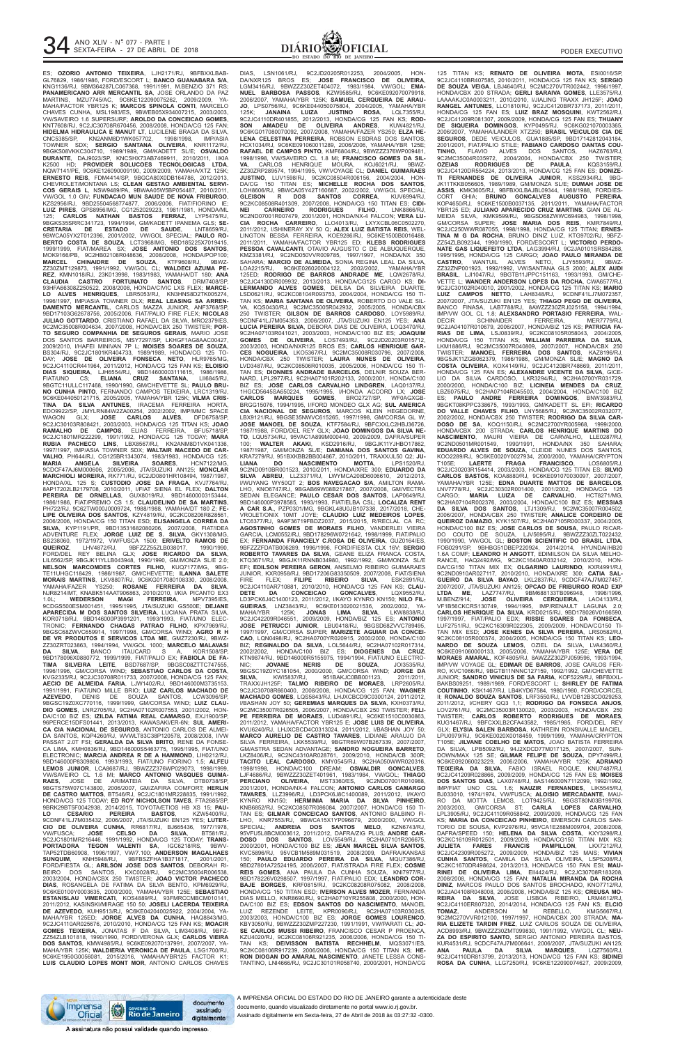

ES; **OZORIO ANTONIO TEIXEIRA**, LJH2171/RJ, 9BFBXXLBAB-GL76829, 1986/1986, FORD/ESCORT L; **BANCO GUANABARA S/A**, KNG1136/RJ, 9BM364287LC067368, 1991/1991, M.BENZ/O 371 RS; **PANAMERICANO ARR MERCANTIL SA**, JOSE ORLANDO DA PAZ MARTINS, MZU7745/AC, 9C6KE122090075262, 2009/2009, YA-MAHA/FACTOR YBR125 K; **MARCOS SPINOLA CONTI**, MARCELO CHAVES CUNHA, MSL1983/ES, 9BWEB05X934007215, 2003/2003, VW/SAVEIRO 1.6 SUPERSURF; **AROLDO DA CONCEICAO GOMES**, KNT7608/RJ, 9C2JC30708R670456, 2008/2008, HONDA/CG 125 FAN; **HIDELMA HIDRAULICA E MANUT LT**, LUCILENE BRAGA DA SILVA, CNC5385/SP, KN2ANM8D1WK057702, 1998/1998, IMP/ASIA TOWNER SDX; **SERGIO SANTANA OLIVEIRA**, KNR1172/RJ, 9BGKS08VKKC304710, 1989/1989, GM/KADETT SL/E; **OSVALDO DURANTE**, DAJ9023/SP, KNCSHX73AB7469911, 2010/2011, I/KIA K2500 HD; **PROVIDER SOLUCOES TECNOLOGICAS LTDA**, NQW7141/PE, 9C6KE126090009190, 2009/2009, YAMAHA/XTZ 125K; **ERNESTO REIS**, FDM4414/SP, 9BGCA80X0DB164786, 2012/2013, CHEVROLET/MONTANA LS; **CLEAN GESTAO AMBIENTAL SERVI-COS GERAIS L**, NSW9489/PA, 9BWAA05W5BP054487, 2010/2011, VW/GOL 1.0 GIV; **FUNDACAO MUN SAUDE DE NOVA FRIBURGO**, KZS2956/RJ, 9BD25504568774877, 2006/2006, FIAT/FIORINO IE; **LUIZ PIRES**, GPS8956/MG, CG1252029223, 1981/1981, HONDA/ML 125; **CARLOS NATHAN BASTOS FERRAZ**, LYP5475/RJ, 9BGKS35SRRC341723, 1994/1994, GM/KADETT IPANEMA GLS; **SE-CRETARIA DE ESTADO DE SAUDE**, LNT8659/RJ, 9BWCA05YX2T012396, 2001/2002, VW/GOL SPECIAL; **PAULO RO-BERTO COSTA DE SOUZA**, LCT3968/MG, 9BD185225X7019415, 1999/1999, FIAT/MAREA SX; **JOSE ANTONIO DOS SANTOS**, MOK9166/PB, 9C2HB02108R048636, 2008/2008, HONDA/POP100; **MARCEL CHINAIDRE DE SOUZA**, KTF9608/RJ, 9BWZ-ZZ30ZMT129873, 1991/1992, VW/GOL CL; **WALDECI AZUMA PE-REZ**, KMN1018/RJ, 23K013998, 1983/1983, YAMAHA/DT 180; **ANA CLAUDIA CASTRO FORTUNATO SANTOS**, DRM7408/SP, 93HFA66308Z250522, 2008/2008, HONDA/CIVIC LXS FLEX; **MARCE-LO ALVES HENRIQUES**, LBR5053/RJ, KN3HNS8D2TK005274, 1996/1997, IMP/ASIA TOWNER DLX; **REAL LEASING SA ARREN-DAMENTO MERCANTIL**, CARLOS MAZZA JUNIOR, ANF3768/SP, 9BD17103G62678756, 2005/2006, FIAT/PALIO FIRE FLEX; **NICOLAS JULIAO GOTTARDO**, CRISTIANO RAFAEL DA SILVA, MRO2379/ES, 9C2MC35008R004634, 2007/2008, HONDA/CBX 250 TWISTER; **POR-TO SEGURO COMPANHIA DE SEGUROS GERAIS**, MARIO JOSE DOS SANTOS BARREIROS, MSY7297/SP, LKHGF1AG8AAC00427, 2009/2010, I/HAFEI MINIVAN 7P L; **MOISES SOARES DE SOUZA**, BS304/RJ, 9C2JC1801KR404733, 1989/1989, HONDA/CG 125 TO-DAY; **JOSE DE OLIVEIRA FONSECA NETO**, HLR9765/MG, 9C2JC4110CR441964, 2011/2012, HONDA/CG 125 FAN KS; **ELOISIO DIAS SIQUEIRA**, LJH6554/RJ, 9BD14600003111615, 1986/1986, FIAT/UNO CS; **ELIANA CRUZ SANTANA**, LII6845/RJ, 9BGTC11ULLC117468, 1990/1990, GM/CHEVETTE SL; **PAULO BRU-NO CUNHA PINTO**, FERNANDO CAMPOS TEIXEIRA, LRC1319/RJ, 9C6KE044050121715, 2005/2005, YAMAHA/YBR 125K; **VILMA CRIS-TINA DA SILVA ANTUNES**, IRACEMA FERREIRA HORTA, EDO9922/SP, JMYLRN84W2ZA00254, 2002/2002, IMP/MMC SPACE WAGON GLX; **JOSE CARLOS ALVES**, DFD6758/SP, 9C2JC30103R808421, 2003/2003, HONDA/CG 125 TITAN KS; **JOAO RAMALHO DE CAMPOS**, ELIAS FERREIRA, BFU5718/SP, 9C2JC1801MR222299, 1991/1992, HONDA/CG 125 TODAY; **MARA RUBIA PACHECO LINS**, LBX8567/RJ, KN2ANM8D1VK041336, 1997/1997, IMP/ASIA TOWNER SDX; **WALTAIR MACEDO DE CAR-VALHO**, PH644/RJ, CG125BR1343074, 1983/1983, HONDA/CG 125; **MARIA ANGELA SILVEIRA SOARES**, HCN7122/MG, 9CDCF47AJ6M000606, 2005/2006, JTA/SUZUKI AN125; **MONCLAR MARCHIOLI MOREIRA**, RK771/RJ, 9C2JD0801HR108494, 1987/1987, HONDA/XL 125 S; **CUSTODIO JOSE DA FRAGA**, KVJ7764/RJ, 8AP17202LB2179708, 2010/2011, I/FIAT SIENA EL FLEX; **DALTON PEREIRA DE ORNELLAS**, GUX8019/RJ, 9BD14600003153444, 1986/1986, FIAT/PREMIO CS 1.5; **CLAUDELINO DE SA MARTINS**, PH722/RJ, 9C62TW000J0009724, 1988/1988, YAMAHA/DT 180 Z; **FE-LIPE OLIVEIRA DOS SANTOS**, KZY4819/RJ, 9C2KC08206R828561, 2006/2006, HONDA/CG 150 TITAN ESD; **ELISANGELA CORREA DA SILVA**, KYP1191/PR, 9BD13531682080206, 2007/2008, FIAT/IDEA ADVENTURE FLEX; **JORGE LUIZ DE S. SILVA**, GKY1308/MG, BS238060, 1972/1972, VW/FUSCA 1500; **ERIVELTO RAMOS DE QUEIROZ**, LHV4872/RJ, 9BFZZZ55ZLB038017, 1990/1990,<br>FORD/DEL REY BELINA GLX; **JOSE RICARDO DA SILVA,**<br>LIL6562/SP, 9BGJK11YLLB043948, 1990/1990, GM/MONZA SL/E\_2.0;<br>NEL**SON MARCOMDES CORTES FILHO**, KUQ7177/MG, 9BG-TE11UHGC118429, 1986/1987, GM/CHEVETTE; **ILANNA SALETE MORAIS MARTINS**, LKV8807/RJ, 9C6KG017080108330, 2008/2008, YAMAHA/FAZER YS250; **ROSANE FERREIRA DA SILVA**, NJR8214/MT, KNABK514AAT906863, 2010/2010, I/KIA PICANTO EX3 1.0L; **WEDERSON MAGI FERREIRA**, MPV7395/ES, 9CDGS500ESM001451, 1995/1995, JTA/SUZUKI GS500E; **DEJANE APARECIDA M DOS SANTOS SILVEIRA**, LUCIANA PRATA SILVA, KOR0718/RJ, 9BD146000P3991201, 1993/1993, FIAT/UNO ELEC-TRONIC; **FERNANDO CHAGAS PATRAO FILHO**, KPX7969/RJ, 9BGSC68ZWVC659914, 1997/1998, GM/CORSA WIND; **AGRO R H DE VR PRODUTOS E SERVICOS LTDA ME**, GMZ7230/RJ, 9BWZ-ZZ30ZRT023863, 1994/1994, VW/GOL 1000; **MARCELO MALAVASI DA SILVA**, BANCO ITAUCARD S A, KOR1508/SP, 9BD178096X0880772, 1999/1999, FIAT/PALIO EX; **FABIOLA DE FA-TIMA SILVEIRA LEITE**, BSD7687/SP, 9BGSC08ZTTC747555, 1996/1996, GM/CORSA WIND; **SEBASTIAO CARLOS DA COSTA**, KVG2335/RJ, 9C2JC30708R011733, 2007/2008, HONDA/CG 125 FAN; **AECIO DE ALMEIDA FARIA**, LJW1402/RJ, 9BD146000M3735153, 1991/1991, FIAT/UNO MILLE BRIO; **LUIZ CARLOS MACHADO DE AZEVEDO**, DENIS DE SOUZA SANTOS, LCW3096/SP, 9BGSC19Z0XC770116, 1999/1999, GM/CORSA WIND; **LUIZ CLAU-DIO GOMES**, LNR2705/RJ, 9C2HA07102R007553, 2001/2002, HON-DA/C100 BIZ ES; **IZILDA FATIMA REAL CAMARGO**, EXJ1900/SP, 96PERCE15DFS01441, 2013/2013, KAWASAKI/ER-6N; **SUL AMERI-CA CIA NACIONAL DE SEGUROS**, ANTONIO CARLOS DE ALMEI-DA SANTOS, KQP4260/RJ, WVWLT83C38P120578, 2008/2008, I/VW PASSAT 2.0T FSI; **GERALDA DA SILVA BRITO**, RENE DA FONSE-CA LIMA, KMH0836/RJ, 9BD146000S5463775, 1995/1995, FIAT/UNO ELECTRONIC; **MARCIA ANDREA R DE A HAMMOND**, LIH0212/RJ, 9BD146000P8309806, 1993/1993, FIAT/UNO FIORINO 1.5; **ALFEU LEMOS JUNIOR**, LCA8687/RJ, 9BWZZZ376WP029073, 1998/1999, VW/SAVEIRO CL 1.6 MI; **MARCO ANTONIO VASQUES GUIMA-RAES**, JOSE DE ARIMATEIA DA SILVA, DTB0738/SP, 9BGTS75W07C143800, 2006/2007, GM/ZAFIRA COMFORT; **HERLIN DE CASTRO MATTOS**, BT546/RJ, 9C2JC1801MR228835, 1991/1992, HONDA/CG 125 TODAY; **ED ROY NICHOLSON TAVES**, FTA2685/SP, 9BRK29BT5F0042938, 2014/2015, TOYOTA/ETIOS HB XS 15; **PAU-LO CESARIO PEREIRA BASTOS**, KZW5400/RJ, 9CDNF41LJ7M035432, 2006/2007, JTA/SUZUKI EN125 YES; **LUTER-CIO DE OLIVEIRA CUNHA**, RR6817/RJ, BJ665436, 1977/1978, VW/FUSCA; **JOSE CELSO DA SILVA**, BT581/RJ, 9C2JC1801MR216446, 1991/1992, HONDA/CG 125 TODAY; **TRANS-PORTADORA TEGON VALENTI SA**, IGC6218/RS, 9BWV-TAP52TDB60908, 1996/1997, VW/7.100; **ANDERSON MAGALHAES SUNQUIM**, KNH5948/RJ, 9BFBSZFHA1B371817, 2001/2001, FORD/FIESTA GL; **ARILSON JOSE DOS SANTOS**, DEBORAH RI-BEIRO DOS SANTOS, KXC0028/RJ, 9C2MC35004R006538, 2003/2004, HONDA/CBX 250 TWISTER; **JOAO VICTOR PACHECO DIAS**, ROSANGELA DE FATIMA DA SILVA BENTO, KPM6929/RJ, 9C6KE0100Y0003635, 2000/2000, YAMAHA/YBR 125E; **SEBASTIAO ESTANISLAU VIMERCATI**, KOS4889/RJ, 93FMRCCMBCM010141, 2011/2012, KASINSKI/MIRAGE 150 50; **JOSELI LACERDA TEIXEIRA DE AZEVEDO**, KUH9513/RJ, 9C6KE042040025922, 2004/2004, YA-MAHA/YBR 125ED; **JORGE ALVES DA CUNHA**, HAQ8843/MG, 9C2JC4110AR025676, 2010/2010, HONDA/CG 125 FAN KS; **MOACIR GOMES TEIXEIRA**, JONATAS F DA SILVA, LIM3408/RJ, 9BFZ-ZZ54ZLB101818, 1990/1990, FORD/VERONA GLX; **CARLOS VIEIRA DOS SANTOS**, KMW4985/RJ, 9C6KE092070137991, 2007/2007, YA-MAHA/YBR 125K; **WALDIERIA VERONICA DE PAULA**, LSG1700/RJ, 9C6KE1950G0056081, 2015/2016, YAMAHA/YBR125 FACTOR K1; **LUIS CLAUDIO LOPES MONT MOR**, ANTONIO CARLOS CHAVES

DIAS, LSN1061/RJ, 9C2JD20205R012253, 2004/2005, HON-DA/NXR125 BROS ES; **JOSE FRANCISCO DE OLIVEIRA**, LGM3416/RJ, 9BWZZZ30ZET404072, 1983/1984, VW/GOL; **EMA-NUEL BARBOSA PASSOS**, KZW9585/RJ, 9C6KE092070079918, 2006/2007, YAMAHA/YBR 125K; **SAMUEL CERQUEIRA DE ARAU-JO**, LPS0756/RJ, 9C6KE044050075804, 2004/2005, YAMAHA/YBR JANAINA LUIZA JUSTINO ROSA, 9C2JC4110DR401855, 2012/2013, HONDA/CG 125 FAN KS; **ROD-SON AMADEU DE OLIVEIRA ANDRES**, KUW4821/RJ, 9C6KG017080070092, 2007/2008, YAMAHA/FAZER YS250; **ELZA HE-LENA CELESTINA PERREIRA**, ROBSON ESDRAS DOS SANTOS, HCX1034/RJ, 9C6KE091060011289, 2006/2006, YAMAHA/YBR 125E; **RAFAEL DE CAMPOS PINTO**, KMF6804/RJ, 9BWZZZ376WP009481, 1998/1998, VW/SAVEIRO CL 1.8 MI; **FRANCISCO GOMES DA SIL-VA**, CARLOS HENRIQUE MOURA, KOJ6021/RJ, 9BWZ-ZZ30ZRP289574, 1994/1995, VW/VOYAGE CL; **DANIEL GUIMARAES JUSTINO**, LUV1598/RJ, 9C2KC08504R006156, 2004/2004, HON-DA/CG 150 TITAN ES; **MICHELLE ROCHA DOS SANTOS**, LOH8606/RJ, 9BWCA05Y42T160687, 2002/2002, VW/GOL SPECIAL;<br>**GLEISON R DOS SANTOS CORREA,** KUV6994/RJ,<br>9C2KC08508R401309, 2007/2008, HONDA/CG 150 TITAN ES; **CIDI-NEI CARNEIRO RODRIGUES FILHO**, LNK8866/RJ, 9C2ND07001R007479, 2001/2001, HONDA/NX-4 FALCON; **VERA LU-CIA ROCHA CARREIRO**, LLO4013/RJ, LXYXCBL06C0502270, 2011/2012, I/SHINERAY XY 50 Q; **ALEX LUIZ BATISTA REIS**, WEL-LINGTON BESSA FERREIRA, KOE9286/RJ, 9C6KE1500B0016488,<br>2011/2011, YAMAHA/FACTOR YBR125 ED; KLEBS RODRIGUES YAMAHA/FACTOR YBR125 ED; **KLEBS RODRIGUES** PESSOA CAVALCANTI, OTAVIO AUGUSTO C DE ALBUQUERQUE KMZ3381/RJ, 9C2ND050VVR009785, 1997/1997, HONDA/NX 350 SAHARA; **MARCIO DE ALMEIDA**, SONIA REGINA LEAL DA SILVA, LOA2215/RJ, 9C6KE026020004122, 2002/2002, YAMAHA/YBR 125ED; **RODRIGO DE BARROS ANDRADE ME**, LQW2678/RJ, 9C2JC4130DR009932, 2013/2013, HONDA/CG125 CARGO KS; **DI-LERMANDO ALVES GOMES**, DEILSA DA SILVEIRA DUARTE, LSD0621/RJ, 9C2KC08104R093753, 2004/2004, HONDA/CG 150 TI-TAN KS; **MARIA SANTANA DE OLIVEIRA**, ROBERTO DO VALE SIL-VA, KQS0430/RJ, 9C2MC35005R042932, 2005/2005, HONDA/CBX 250 TWISTER; **GILSON DE BARROS CARDOSO**, LOY5989/RJ, 9CDNF41LJ7M054353, 2006/2007, JTA/SUZUKI EN125 YES; **ANA LUCIA PEREIRA SILVA**, DEBORA DIAS DE OLIVEIRA, LOQ3470/RJ, 9C2HA07103R041021, 2003/2003, HONDA/C100 BIZ ES; **JOAQUIM GOMES DE OLIVEIRA**, LOS7493/RJ, 9C2JD20203R015712, 2003/2003, HONDA/NXR125 BROS ES; **CARLOS HENRIQUE GAR-CES NOGUEIRA**, LKO5367/RJ, 9C2MC35008R030796, 2007/2008, HONDA/CBX 250 TWISTER; **LAURA NUNES DE OLIVEIRA**, LVD3487/RJ, 9C2KC08506R010035, 2005/2006, HONDA/CG 150 TI-TAN ES; **DIONNES ANDRADE BARCELOS**, DELNIR SOUZA BER-NARD, LPL2977/RJ, 9C2HA07101R202133, 2000/2001, HONDA/C100 BIZ ES; **JOSE CARLOS CARVALHO LINDGREN**, LAQ0137/RJ, 1HGCD5645SA650224, 1995/1995, I/HONDA ACCORD LX; **JOSE CARLOS MARQUES GOMES**, BRO2727/SP, WF0AGXGB-BRGG15076, 1994/1995, I/FORD MONDEO GLX AG; **SUL AMERICA CIA NACIONAL DE SEGUROS**, MARCOS KLEIN HEGEDORNE, LBX9121/RJ, 9BGSE35NWVC615265, 1997/1998, GM/CORSA GL W; **JOSE MANOEL DE SOUZA**, KTF7584/RJ, 9BFCXXLC2HBJ36726, 1987/1988, FORD/DEL REY GLX; **JOAO DOMINGOS DA SILVA NE-TO**, LQU5734/RJ, 95VAC1A899M000440, 2009/2009, DAFRA/SUPER 100; **WALTER AKAKI**, KSD2916/RJ, 9BGJK11YJHBO17862, 1987/1987, GM/MONZA SL/E; **DAMIANA DOS SANTOS GAVINA**, KRA7279/RJ, 951BXKBB2BB004867, 2010/2011, TRAXX/JL50 Q2; **JU-LIANA DO NASCIMENTO MOTTA**, LPS1520/RJ, 9C2ND0910BR001523, 2010/2011, HONDA/XRE 300; **EDUARDO DA SILVA ABREU**, LLZ3371/RJ, LWYMCA208D6006610, 2012/2013,<br>I/WUYANG WY50QT 2; **BOS NAVEGACAO S/A**, AMILTON RAMA-<br>LHO, KNO6747/RJ, 9BGAB69W08B217867, 2007/2008, GM/VECTRA SEDAN ELEGANCE; **PAULO CESAR DOS SANTOS**, LAP0649/RJ, 9BD146000P3978585, 1993/1993, FIAT/ELBA CSL; **LOCALIZA RENT A CAR S.A.**, PZP0301/MG, 9BGKL48U0JB107338, 2017/2018, CHE-VROLET/ONIX 10MT JOYE; **CLAUDIO LUIZ MEDEIROS LOPES**, LTC6377/RJ, 9A9F36719FBDZ2037, 2015/2015, R/RECLAL CA RC; **AGOSTINHO GOMES DE MORAES FILHO**, VANDERLEI VIEIRA GARCIA, LCM0552/RJ, 9BD178296W0721642, 1998/1999, FIAT/PALIO EX; **FERNANDA FRANCIELY C.ROSA DE OLIVEIRA**, GUZ0164/ES, 9BFZZZFDATB006289, 1996/1996, FORD/FIESTA CLX 16V; **SERGIO ROBERTO TAVARES DA SILVA**, GEANE ELIZA FRANCA COSTA, KTQ3671/RJ, 9BGJK11RNNB034980, 1992/1992, GM/MONZA SL/E EFI; **EDILSON PEREIRA GERON**, ANSELMO RIBEIRO GUIMARAES JUNIOR, KXR0958/RJ, 9BD17206G83350509, 2007/2008, FIAT/SIENA FIRE FLEX; **FILIPE RIBEIRO SILVA**, ESK2891/RJ, 9C2JC4110AR710881, 2010/2010, HONDA/CG 125 FAN KS; **CLAU-DETE DA CONCEICAO GONCALVES**, LQX9552/RJ, LD3PCK6J4C1400123, 2011/2012, I/KAYO KYNRO KN150; **NILO FIL-GUEIRAS**, LNZ3843/RJ, 9C6KE013020021536, 2002/2002, YA-MAHA/YBR 125K; **JONAS LIMA SILVA**, LKW8838/RJ, 9C2JC42209R046551, 2009/2009, HONDA/BIZ 125 ES; **ANTONIO JOSE PETRUCCI JUNIOR**, LBU0418/RJ, 9BGSD68ZVVC789495, 1997/1997, GM/CORSA SUPER; **MARIZETE AGUIAR DA CONCEI-CAO**, LQN0498/RJ, 9C2HA0700YR020915, 2000/2000, HONDA/C100 BIZ; **REGINALDO DA SILVA**, LOL5644/RJ, 9C2HA07102R017314, 2002/2002, HONDA/C100 BIZ ES; **DIOGENES DA CRUZ**, KTN9874/RJ, 9BD146000R5155975, 1994/1994, FIAT/UNO ELECTRO-NIC; **JOVANE NERIS DE SOUZA**, JOI3535/RJ, 9BGSC19Z0YC181054, 2000/2000, GM/CORSA WIND; **JORGE DA SILVA**, KWI5837/RJ, 951BAKJC0BB001123, 2011/2011, TRAXX/JH125F; **TALMO RIBEIRO DE MORAES**, LRP2605/RJ, 9C2JC30708R660400, 2008/2008, HONDA/CG 125 FAN; **WAGNER MACHADO GOMES**, LQS5843/RJ, LHJXCBCD9C0300124, 2011/2012, I/BASHAN JOY 50; **GEREMIAS MARQUES DA SILVA**, KXH0373/RJ, 9C2MC35007R026505, 2006/2007, HONDA/CBX 250 TWISTER; **FELI-PE FERREIRA DE MORAES**, LUD4891/RJ, 9C6KE1510C0030863, 2011/2012, YAMAHA/FACTOR YBR125 E; **JOSE LUIS DE OLIVEIRA**, KVU6240/RJ, LHJXCBCD4C0313024, 2011/2012, I/BASHAN JOY 50; **MARCO AURELIO DE CASTRO TAVARES**, LIDIANE ARAUJO DA SILVA FERREIRA, LKK5539/RJ, 9BGTR69W07B267339, 2007/2007, GM/ASTRA SEDAN ADVANTAGE; **SANDRO NOGUEIRA BARRETO**, LKZ8406/RJ, 9C2NC4310AR028761, 2009/2010, HONDA/CB 300R; **TACITO LEAL CARDOSO**, KMY0545/RJ, 9C2HA050WWR020316, 1998/1998, HONDA/C100 DREAM; **OSWALDIR GONCALVES**, LJF4686/RJ, 9BWZZZ30ZET401961, 1983/1984, VW/GOL; **THIAGO PERCIANO OLIVEIRA**, MST3360/ES, 9C2ND07001R010988, 2001/2001, HONDA/NX-4 FALCON; **ANTONIO CARLOS CAMARGO TAVARES**, LLZ3996/RJ, LD3PCK6J8C1400089, 2011/2012, I/KAYO KYNRO KN150; **HERMINIA MARIA DA SILVA PINHEIRO**, KNB6852/RJ, 9C2KC08507R086084, 2007/2007, HONDA/CG 150 TI-TAN ES; **GILMAR CONCEICAO SANTOS**, ANTONIO BALBINO FI-9BWCA15X1YP096879, 2000/2000, VW/GOL SPECIAL; **ANDREIA DOS SANTOS MELO**, KZN6743/RJ, 95VFU5L8BCM003612, 2011/2012, DAFRA/ZIG PLUS; **ANDRE CAR-DOSO DOS SANTOS**, LOV5549/RJ, 9C2HA07101R206675,<br>2000/2001, HONDA/C100 BIZ ES; **JEAN MARCEL SILVA SANTOS,**<br>KVC5896/RJ, 95VCB1M589M031519, 2008/2009, DAFRA/KANSAS<br>150; **PAULO EDUARDO PEREIRA DA SILVA**, MQU7386/RJ, 9BD27801A72524195, 2006/2007, FIAT/STRADA FIRE FLEX; **COSME REIS GOMES**, ANA PAULA DA CUNHA SOUZA, KNI7977/RJ, 9BD178226V0298507, 1997/1997, FIAT/PALIO EDX; **LEANDRO COR-BAJE BORGES**, KRF0815/RJ, 9C2KC08208R075082, 2008/2008, HONDA/CG 150 TITAN ESD; **IVERSON ALVES MOZER**, FERNANDA DIAS MELLO, KNR8690/RJ, 9C2HA0710YR255808, 2000/2000, HON-DA/C100 BIZ ES; **EDSON SANTOS DO NASCIMENTO**, MANOEL LUIZ REZENDE LEITE, KPR0090/RJ, 9C2HA07103R030245, 2003/2003, HONDA/C100 BIZ ES; **JORGE GOMES LOURENCO**, KBY3050/RJ, 9BWZZZ30ZMP227230, 1991/1991, VW/PARATI CL; **JO-SE CARLOS MUSSI RIBEIRO**, FRANCISCO CESAR P PROENCA, KZU4020/RJ, 9C2KC08106R921235, 2006/2006, HONDA/CG 150 TI-TAN KS; **DEIVISSON BATISTA RECHHELM**, MQS3071/ES, 9C2KC08106R917239, 2006/2006, HONDA/CG 150 TITAN KS; **HE-RON DIOGAN DO AMARAL NASCIMENTO**, JANETE LESSA CONS-TANTINO, LNI4666/RJ, 9C2JC30101R058740, 2000/2001, HONDA/CG

125 TITAN KS; **RENATO DE OLIVEIRA MOTA**, ESI0016/SP, 9C2JC4110BR407585, 2010/2011, HONDA/CG 125 FAN KS; **SERGIO DE SOUZA VEIGA**, LBJ4640/RJ, 9C2MC270VTR002442, 1996/1997, HONDA/CBX 200 STRADA; **GERLI SARAIVA GOMES**, LLE3575/RJ, LAAAAKJC0A0003211, 2010/2010, I/JIALING TRAXX JH125F; **JOAO RANGEL ANTUNES**, LLO1810/RJ, 9C2JC4120BR737173, 2011/2011, HONDA/CG 125 FAN ES; **LUIZ BRAZ MOSQUINI**, KWT2562/RJ, 9C2JC41209R081307, 2009/2009, HONDA/CG 125 FAN ES; **THUANY DE SIQUEIRA DOMINGOS**, KYP0495/RJ, 9C6KG021070003365, 2006/2007, YAMAHA/LANDER XTZ250; **BRASIL VEICULOS CIA DE SEGUROS**, DEDE VEICULOS, GUA1885/SP, 9BD17142812043184 2001/2001, FIAT/PALIO STILE; **FABIANO CARDOSO DANTAS COU-TINHO**, FLAVIO ALVES DOS SANTOS, HAZ6763/RJ, 9C2MC35004R035972, 2004/2004, HONDA/CBX 250 TWISTER; **OZEIAS RODRIGUES DE PAULA**, KQS3159/RJ, 9C2JC4120DR554224, 2013/2013, HONDA/CG 125 FAN ES; **DONIZE-TI FERNANDES DE OLIVEIRA JUNIOR**, KSS2934/RJ, 9BG-JK11TKKB056605, 1989/1989, GM/MONZA SL/E; **DUMAH JOSE DE ASSIS**, KMK3605/RJ, 9BFBXXLBAJBL09344, 1988/1988, FORD/ES-CORT GHIA; **BRUNO GONCALVES AUGUSTO PEREIRA**, KOP4650/RJ, 9C6KE1500B0037135, 2011/2011, YAMAHA/FACTOR YBR125 ED; **JULIANO APARECIDO CRUZ MARTINS**, GIAN DE AL-MEIDA SILVA, KMK9599/RJ, 9BGSD68ZWWC694983, 1998/1998, GM/CORSA SUPER; **JOSE MARIA DOS REIS**, KMR7849/RJ, 9C2JC250WWR087055, 1998/1998, HONDA/CG 125 TITAN; **ERNES-TINA M G DA ROCHA**, BRUNO DINIZ LUIZ, KTG9702/RJ, 9BFZ-ZZ54ZLB092344, 1990/1990, FORD/ESCORT L; **VICTORIO PERDO-NATE GAS LIQUEFEITO LTDA**, LAG3994/RJ, 9C2JA0101SRS84288, 1995/1995, HONDA/CG 125 CARGO; **JOAO PAULO MIRANDA DE CASTRO**, WANTUIL ALVES NETO, LJY5593/RJ, 9BWZ-ZZ32ZNP001923, 1992/1992, VW/SANTANA GLS 2000; **ALEX AUDI BRASIL**, LJI1047/RJ, 9BGTB11JPPC151163, 1993/1993, GM/CHE-VETTE L; **WANDER ANDERSON LOPES DA ROCHA**, CWA6577/RJ, 9C2JC30102R040010, 2001/2002, HONDA/CG 125 TITAN KS; **MARIO LUIZ CAMPOS NETTO**, LAH8348/RJ, 9CDNF41LJ7M072357, 2007/2007, JTA/SUZUKI EN125 YES; **THIAGO PEGO DE OLIVEIRA**, BANCO FINASA, LAB7788/RJ, 8AWZZZ30ZRJ025158, 1994/1994, IMP/VW GOL CL 1.8; **ALEXSANDRO PORTASIO FERREIRA**, WAL-DECIR SCHINAIDER FERREIRA, MER7779/RJ, 9C2JA04107R010679, 2006/2007, HONDA/BIZ 125 KS; **PATRICIA FA-RIAS DE LIMA**, LSJ0839/RJ, 9C2KC08105R058043, 2004/2005, HONDA/CG 150 TITAN KS; **WILLIAM PARREIRA DA SILVA**, LKM1886/RJ, 9C2MC35007R040809, 2007/2007, HONDA/CBX 250 TWISTER; **MANOEL FERREIRA DOS SANTOS**, KAZ8196/RJ, 9BG5JK11ZGB062379, 1986/1986, GM/MONZA SL/E; **MAGNO DA COSTA OLIVEIRA**, KOX4149/RJ, 9C2JC4120BR748669, 2011/2011, HONDA/CG 125 FAN ES; **ALEXANDRE VICENTE DA SILVA**, GICE-LIO DA SILVA CARDOSO, LKR3294/RJ, 9C2HA0700YR031729, 2000/2000, HONDA/C100 BIZ; **LICINEIA MENDES DA CRUZ**, LBZ6075/RJ, 9C2HA07104R045503, 2004/2004, HONDA/C100 BIZ ES; **PAULO ANDRE FERREIRA DOMINGOS**, BNW3983/RJ, 9BGKT08KPPC338675, 1993/1993, GM/KADETT SL EFI; **RICARDO DO VALLE CHAVES FILHO**, LNY5685/RJ, 9C2MC35002R032077, 2002/2002, HONDA/CBX 250 TWISTER; **RODRIGO DA SILVA CAR-DOSO DE SA**, KOQ1150/RJ, 9C2MC2700YR005968, 1999/2000, HONDA/CBX 200 STRADA; **CARLOS HENRIQUE MARTINS DO NASCIMENTO**, MAURI VIEIRA DE CARVALHO, LLE0287/RJ, 9C2ND0501MR001549, 1990/1991, HONDA/NX 350 SAHARA; **EDUARDO ALVES DE SOUZA**, CLEIDE NUNES DOS SANTOS, KOO2289/RJ, 9C6KE0020Y0027934, 2000/2000, YAMAHA/CRYPTON<br>T105E; LAERTE FRAGA FRANCISCO, LOS6805/RJ, T105E; **LAERTE FRAGA FRANCISCO**, LOS6805/RJ, 9C2JC30203R154414, 2003/2003, HONDA/CG 125 TITAN ES; **SILVIO CARLOS BASTOS**, KOA8880/RJ, 9C6KE091070030097, 2007/2007, YAMAHA/YBR 125E; **EDNA DUARTE MATTOS DE BARCELOS**, LNV7778/RJ, 9C2JC30302R001400, 2001/2002, HONDA/CG 125 CARGO; **MARIA LUIZA DE CARVALHO**, HCT8271/MG, 9C2HA07104R002376, 2003/2004, HONDA/C100 BIZ ES; **MESSIAS DA SILVA DOS SANTOS**, LTJ1309/RJ, 9C2MC35007R004502, 2006/2007, HONDA/CBX 250 TWISTER; **ANALICE CORDEIRO DE QUEIROZ DAMAZIO**, KYK1507/RJ, 9C2HA07105R000337, 2004/2005, HONDA/C100 BIZ ES; **JOSE CARLOS DE SOUSA**, PAULO RICAR-DO COUTO DE SOUZA, LJV5695/RJ, 9BWZZZ30ZLT022432, 1990/1990, VW/GOL GL; **BOSTON SCIENTIFIC DO BRASIL LTDA**, FOB0291/SP, 9BHBG51DBEP220924, 2014/2014, HYUNDAI/HB20 1.6A COMF; **LEANDRO H ANGOTT**, EDIMILSON DA SILVA MELHO-RANCE, HAQ2492/MG, 9C2KC1640AR032142, 2010/2010, HON-DA/CG150 TITAN MIX EX; **OLGARINO LAURINDO**, KXR4991/RJ, 9C2ND0910AR027117, 2010/2010, HONDA/XRE 300; **CATIA SAL-GUEIRO DA SILVA BAYAO**, LKL2837/RJ, 9CDCF47AJ7M027457, 2007/2007, JTA/SUZUKI AN125; **OPCAO DE FRIBURGO ROAD EXP LTDA ME**, LAZ7747/RJ, 9BM688133TB096948, 1996/1996,<br>M.BENZ/914; **JOSE OLIVEIRA CERQUEIRA**, LAO4133/RJ,<br>VF1B56CKCRS130749, 1994/1995, IMP/RENAULT LAGUNA 2.0; **CARLOS HENRIQUE DA SILVA**, KRD0215/RJ, 9BD178026V0166590, 1997/1997, FIAT/PALIO EDX; **RISSIE SOARES DA FONSECA**, LUF2751/RJ, 9C2KC16309R022305, 2009/2009, HONDA/CG150 TI-TAN MIX ESD; **JOSE KENES DA SILVA PEREIRA**, LRS0582/RJ, 9C2KC08105R000374, 2004/2005, HONDA/CG 150 TITAN KS; **LEO-NARDO DE SOUZA LEMOS**, OZIEL DA SILVA, LVA4360/RJ, 9C6KE091060000133, 2005/2006, YAMAHA/YBR 125E; **VERA DE MORAES AMARAL**, KOF4805/RJ, 8AWZZZ30ZPJ059596, 1993/1994, IMP/VW VOYAGE GL; **EDIMAR DE BARROS**, JOSE CARLOS FER-RO, KVC1066/RJ, 9BGTB11NNNC127159, 1992/1992, GM/CHEVETTE JUNIOR; **SANDRO VINICIUS DE SA FARIA**, KOF5229/RJ, 9BFBXXL-BAKBS09251, 1989/1989, FORD/ESCORT L; **SHIRLEY DE FATIMA COUTINHO**, KSK1467/RJ, LB4KYD67584, 1980/1980, FORD/CORCEL II; **RONALDO SOUZA SANTOS**, LRF3550/RJ, LVVDB12B3CD029253, 2011/2012, I/CHERY QQ3 1,1; **RODRIGO DA FONSECA ANJOS**, LOV2761/RJ, 9C2MC35003R130020, 2003/2003, HONDA/CBX 250 TWISTER; **CARLOS ROBERTO RODRIGUES DE MORAES**, KUG1467/RJ, 9BFCXXLB2CFA43582, 1985/1985, FORD/DEL REY GLX; **ELYSIA SALEN BARBOSA**, KATHREIN RONSIVALLE MACIEL, LPU0979/RJ, 9C6KE0020X0018459, 1999/1999, YAMAHA/CRYPTON T105E; **JILVANE COELHO DE MATOS**, JOAO BATISTA FERREIRA DA SILVA, LPB5092/RJ, 94J2XDCD77M017125, 2007/2007, SUN-DOWN/MAX 125 SE; **GILMAR FELIPE DE SOUZA**, DPY7499/RJ, 9C6KE092060023229, 2006/2006, YAMAHA/YBR 125K; **ADRIANO TEIXEIRA DA SILVA**, FABIO ISRAEL ROQUE, KNU7487/RJ, 9C2JC41209R028866, 2009/2009, HONDA/CG 125 FAN ES; **MOISES DOS SANTOS DIAS**, LAX0748/RJ, 8AS146000N7112099, 1992/1992, IMP/FIAT UNO CSL 1.6; **NAUZIR FERNANDES**, LIK5545/RJ, BJ033010, 1974/1974, VW/FUSCA; **ALOISIO MERCADANTE**, MAU-RO DA MOTTA LEMOS, LOT9425/RJ, 9BGST80N03B199706, 2003/2003, GM/CORSA ST; **CARLA LOPES CARVALHO**, LPL3905/RJ, 9C2JC41109R058842, 2009/2009, HONDA/CG 125 FAN KS; **MARIA DA CONCEICAO PINHEIRO**, EMERSON CARLOS SAN-TORIO DE SOUSA, KVP2976/RJ, 95VCA1E288M009704, 2008/2008, DAFRA/SPEED 150; **HELENA DA SILVA COSTA**, KXY3298/RJ, 9C2KC16109R012501, 2009/2009, HONDA/CG150 TITAN MIX KS; **JULIETA FARES FRANCIS PAMPILLON**, LKX7212/RJ, 9C2JC42309R005272, 2009/2009, HONDA/BIZ 125 MAIS; **VIVIAN CUNHA SANTOS**, CAMILA DA SILVA OLIVEIRA, LSP5208/RJ, 9C2KC1670DR498624, 2013/2013, HONDA/CG 150 FAN ESI; **MAU-RINEI DE OLIVEIRA LIMA**, EII4424/RJ, 9C2JC30708R183208, 2008/2008, HONDA/CG 125 FAN; **NATALIA MIRANDA DA ROCHA DINIZ**, MARCOS PAULO DOS SANTOS BROCHADO, KNO7712/RJ, 9C2JA04108R048008, 2008/2008, HONDA/BIZ 125 KS; **CREUSA MO-REIRA DA SILVA**, JOSE LISBOA RIBEIRO, LRM4612/RJ, 9C2JC4110ER807320, 2014/2014, HONDA/CG 125 FAN KS; **ELCIO TOMAZ**, ANDERSON M REBELLO, KMG5667/RJ, 9C2MC270VVR012100, 1997/1997, HONDA/CBX 200 STRADA; **MA-RIA ELIZETE TARDIN FREZ**, LUIZ CARLOS SOUZA DE OLIVEIRA, ACD8993/RJ, 9BWZZZ30ZMT099830, 1991/1992, VW/GOL CL; **NEU-ZA DO ESPIRITO SANTO**, SERGIO ANTONIO PEREIRA BASTOS, KUR4531/RJ, 9CDCF47AJ7M006641, 2006/2007, JTA/SUZUKI AN125; **ANA PAULA DA SILVA MARQUES**, LQZ7560/RJ, 9C2JC4110DR813799, 2013/2013, HONDA/CG 125 FAN KS; **SIDINEI ROSA DA CUNHA**, LLG7250/RJ, 9C6KE122090074627, 2009/2009,



A IMPRENSA OFICIAL DO ESTADO DO RIO DE JANEIRO garante a autenticidade deste documento, quando visualizado diretamente no portal www.io.rj.gov.br. Assinado digitalmente em Sexta-feira, 27 de Abril de 2018 às 03:27:32 -0300.

A assinatura não possui validade quando impresso.